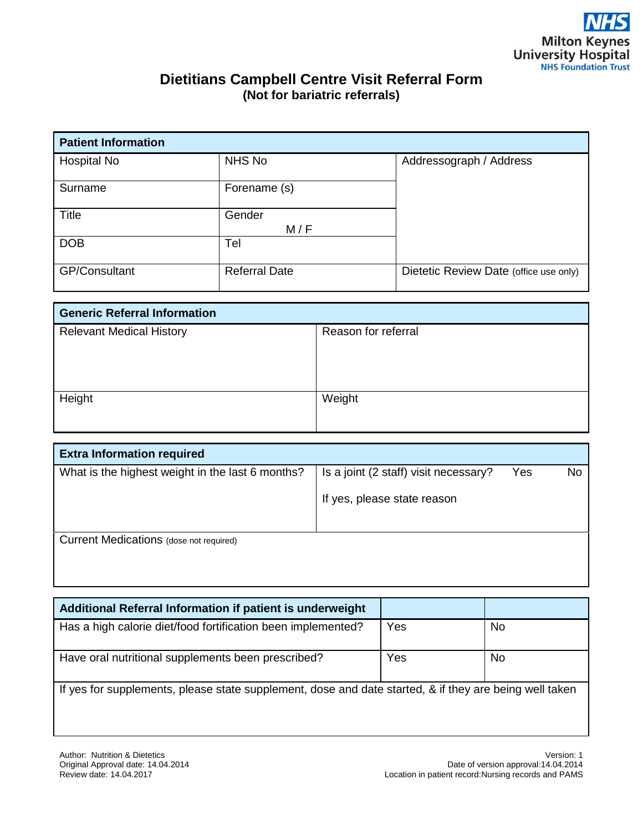## **Dietitians Campbell Centre Visit Referral Form (Not for bariatric referrals)**

| <b>Patient Information</b> |                      |                                        |  |  |  |
|----------------------------|----------------------|----------------------------------------|--|--|--|
| Hospital No                | NHS No               | Addressograph / Address                |  |  |  |
| Surname                    | Forename (s)         |                                        |  |  |  |
| <b>Title</b>               | Gender<br>M/F        |                                        |  |  |  |
| <b>DOB</b>                 | Tel                  |                                        |  |  |  |
| <b>GP/Consultant</b>       | <b>Referral Date</b> | Dietetic Review Date (office use only) |  |  |  |

| <b>Generic Referral Information</b> |                     |  |  |
|-------------------------------------|---------------------|--|--|
| <b>Relevant Medical History</b>     | Reason for referral |  |  |
|                                     |                     |  |  |
|                                     |                     |  |  |
|                                     |                     |  |  |
| Height                              | Weight              |  |  |
|                                     |                     |  |  |
|                                     |                     |  |  |

| <b>Extra Information required</b>                |                                       |     |           |
|--------------------------------------------------|---------------------------------------|-----|-----------|
| What is the highest weight in the last 6 months? | Is a joint (2 staff) visit necessary? | Yes | <b>No</b> |
|                                                  | If yes, please state reason           |     |           |
| Current Medications (dose not required)          |                                       |     |           |

| Additional Referral Information if patient is underweight                                              |     |           |  |  |  |
|--------------------------------------------------------------------------------------------------------|-----|-----------|--|--|--|
| Has a high calorie diet/food fortification been implemented?                                           | Yes | <b>No</b> |  |  |  |
| Have oral nutritional supplements been prescribed?                                                     | Yes | No.       |  |  |  |
| If yes for supplements, please state supplement, dose and date started, & if they are being well taken |     |           |  |  |  |